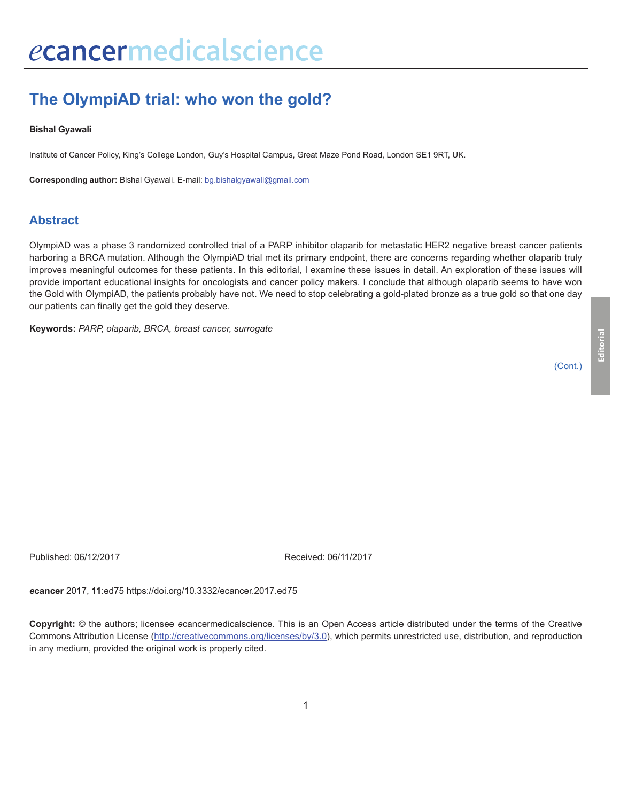# **The OlympiAD trial: who won the gold?**

#### **Bishal Gyawali**

Institute of Cancer Policy, King's College London, Guy's Hospital Campus, Great Maze Pond Road, London SE1 9RT, UK.

**Corresponding author:** Bishal Gyawali. E-mail: bg.bishalgyawali@gmail.com

### **Abstract**

OlympiAD was a phase 3 randomized controlled trial of a PARP inhibitor olaparib for metastatic HER2 negative breast cancer patients harboring a BRCA mutation. Although the OlympiAD trial met its primary endpoint, there are concerns regarding whether olaparib truly improves meaningful outcomes for these patients. In this editorial, I examine these issues in detail. An exploration of these issues will provide important educational insights for oncologists and cancer policy makers. I conclude that although olaparib seems to have won the Gold with OlympiAD, the patients probably have not. We need to stop celebrating a gold-plated bronze as a true gold so that one day our patients can finally get the gold they deserve.

**Keywords:** *PARP, olaparib, BRCA, breast cancer, surrogate*

(Cont.)

Published: 06/12/2017 Received: 06/11/2017

*e***cancer** 2017, **11**:ed75 https://doi.org/10.3332/ecancer.2017.ed75

**Copyright:** © the authors; licensee *e*cancermedicalscience. This is an Open Access article distributed under the terms of the Creative Commons Attribution License (http://creativecommons.org/licenses/by/3.0), which permits unrestricted use, distribution, and reproduction in any medium, provided the original work is properly cited.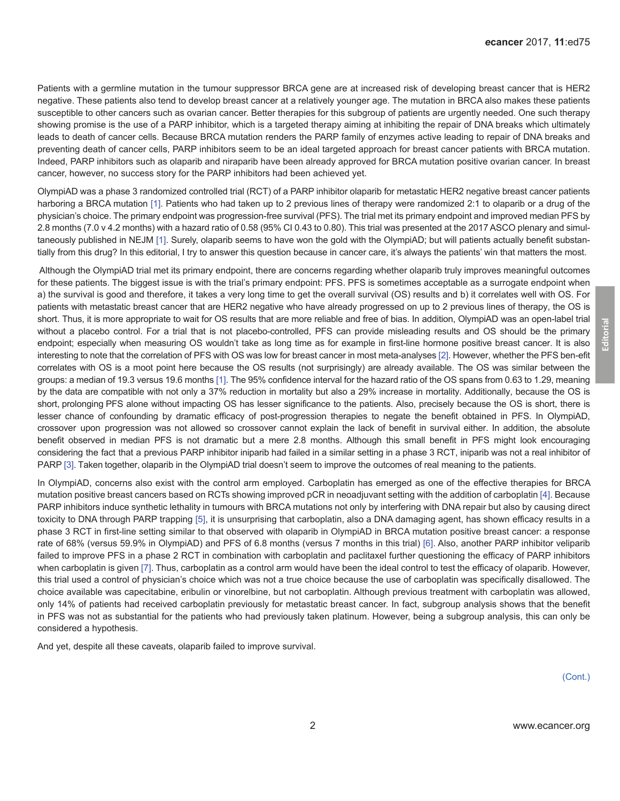Patients with a germline mutation in the tumour suppressor BRCA gene are at increased risk of developing breast cancer that is HER2 negative. These patients also tend to develop breast cancer at a relatively younger age. The mutation in BRCA also makes these patients susceptible to other cancers such as ovarian cancer. Better therapies for this subgroup of patients are urgently needed. One such therapy showing promise is the use of a PARP inhibitor, which is a targeted therapy aiming at inhibiting the repair of DNA breaks which ultimately leads to death of cancer cells. Because BRCA mutation renders the PARP family of enzymes active leading to repair of DNA breaks and preventing death of cancer cells, PARP inhibitors seem to be an ideal targeted approach for breast cancer patients with BRCA mutation. Indeed, PARP inhibitors such as olaparib and niraparib have been already approved for BRCA mutation positive ovarian cancer. In breast cancer, however, no success story for the PARP inhibitors had been achieved yet.

OlympiAD was a phase 3 randomized controlled trial (RCT) of a PARP inhibitor olaparib for metastatic HER2 negative breast cancer patients harboring a BRCA mutation [\[1\].](#page-2-0) Patients who had taken up to 2 previous lines of therapy were randomized 2:1 to olaparib or a drug of the physician's choice. The primary endpoint was progression-free survival (PFS). The trial met its primary endpoint and improved median PFS by 2.8 months (7.0 v 4.2 months) with a hazard ratio of 0.58 (95% CI 0.43 to 0.80). This trial was presented at the 2017 ASCO plenary and simultaneously published in NEJM [\[1\].](#page-2-0) Surely, olaparib seems to have won the gold with the OlympiAD; but will patients actually benefit substantially from this drug? In this editorial, I try to answer this question because in cancer care, it's always the patients' win that matters the most.

 Although the OlympiAD trial met its primary endpoint, there are concerns regarding whether olaparib truly improves meaningful outcomes for these patients. The biggest issue is with the trial's primary endpoint: PFS. PFS is sometimes acceptable as a surrogate endpoint when a) the survival is good and therefore, it takes a very long time to get the overall survival (OS) results and b) it correlates well with OS. For patients with metastatic breast cancer that are HER2 negative who have already progressed on up to 2 previous lines of therapy, the OS is short. Thus, it is more appropriate to wait for OS results that are more reliable and free of bias. In addition, OlympiAD was an open-label trial without a placebo control. For a trial that is not placebo-controlled, PFS can provide misleading results and OS should be the primary endpoint; especially when measuring OS wouldn't take as long time as for example in first-line hormone positive breast cancer. It is also interesting to note that the correlation of PFS with OS was low for breast cancer in most meta-analyses [2[\]. H](#page-2-0)owever, whether the PFS ben-efit correlates with OS is a moot point here because the OS results (not surprisingly) are already available. The OS was similar between the groups: a median of 19.3 versus 19.6 months [[1\]. T](#page-2-0)he 95% confidence interval for the hazard ratio of the OS spans from 0.63 to 1.29, meaning by the data are compatible with not only a 37% reduction in mortality but also a 29% increase in mortality. Additionally, because the OS is short, prolonging PFS alone without impacting OS has lesser significance to the patients. Also, precisely because the OS is short, there is lesser chance of confounding by dramatic efficacy of post-progression therapies to negate the benefit obtained in PFS. In OlympiAD, crossover upon progression was not allowed so crossover cannot explain the lack of benefit in survival either. In addition, the absolute benefit observed in median PFS is not dramatic but a mere 2.8 months. Although this small benefit in PFS might look encouraging considering the fact that a previous PARP inhibitor iniparib had failed in a similar setting in a phase 3 RCT, iniparib was [not](#page-2-0) a real inhibitor of PARP [3]. Taken together, olaparib in the OlympiAD trial doesn't seem to improve the outcomes of real meaning to the patients.

In OlympiAD, concerns also exist with the control arm employed. Carboplatin has emerged as one of the effective therapies for BRCA mutation positive breast cancers based on RCTs showing improved pCR in neoadjuvant setting with the addition of carboplatin [\[4\]](#page-2-0). Because PARP inhibitors induce synthetic lethality in tumours with BRCA mutations not only by interfering with DNA repair but also by causing direct toxicity to DNA through PARP trapping [\[5\],](#page-2-0) it is unsurprising that carboplatin, also a DNA damaging agent, has shown efficacy results in a phase 3 RCT in first-line setting similar to that observed with olaparib in OlympiAD in BRCA mutation positive breast cancer: a response rate of 68% (versus 59.9% in OlympiAD) and PFS of 6.8 months (versus 7 months in this trial) [\[6\].](#page-2-0) Also, another PARP inhibitor veliparib failed to improve PFS in a phase 2 RCT in combination with carboplatin and paclitaxel further questioning the efficacy of PARP inhibitors when carboplatin is given [\[7\]](#page-2-0). Thus, carboplatin as a control arm would have been the ideal control to test the efficacy of olaparib. However, this trial used a control of physician's choice which was not a true choice because the use of carboplatin was specifically disallowed. The choice available was capecitabine, eribulin or vinorelbine, but not carboplatin. Although previous treatment with carboplatin was allowed, only 14% of patients had received carboplatin previously for metastatic breast cancer. In fact, subgroup analysis shows that the benefit in PFS was not as substantial for the patients who had previously taken platinum. However, being a subgroup analysis, this can only be considered a hypothesis.

And yet, despite all these caveats, olaparib failed to improve survival.

(Cont.)